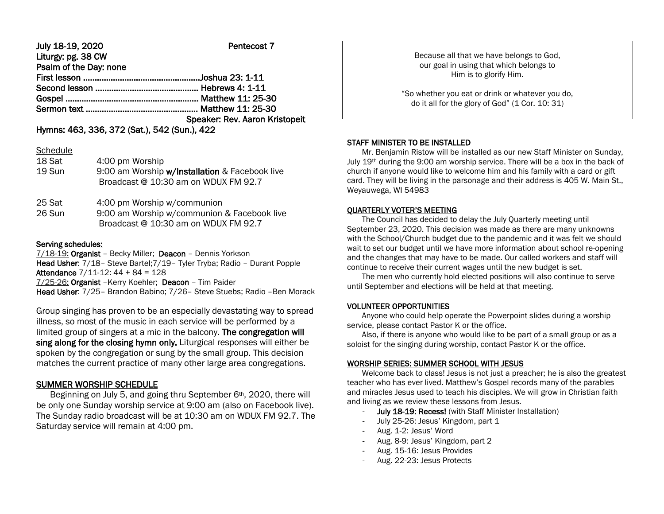## July 18-19, 2020 Pentecost 7 Liturgy: pg. 38 CW Psalm of the Day: none First lesson ……………………………………………Joshua 23: 1-11 Second lesson ……………………………………… Hebrews 4: 1-11 Gospel ………………………..……………………….. Matthew 11: 25-30 Sermon text …………………………………………. Matthew 11: 25-30 Speaker: Rev. Aaron Kristopeit

Hymns: 463, 336, 372 (Sat.), 542 (Sun.), 422

#### **Schedule**

| 18 Sat<br>19 Sun | 4:00 pm Worship<br>9:00 am Worship w/Installation & Facebook live |
|------------------|-------------------------------------------------------------------|
|                  | Broadcast @ 10:30 am on WDUX FM 92.7                              |
| 25 Sat           | 4:00 pm Worship w/communion                                       |

26 Sun 9:00 am Worship w/communion & Facebook live Broadcast @ 10:30 am on WDUX FM 92.7

## Serving schedules:

7/18-19: Organist – Becky Miller; Deacon – Dennis Yorkson Head Usher: 7/18– Steve Bartel;7/19– Tyler Tryba; Radio – Durant Popple Attendance  $7/11-12$ :  $44 + 84 = 128$ 7/25-26: Organist –Kerry Koehler; Deacon – Tim Paider Head Usher: 7/25– Brandon Babino; 7/26– Steve Stuebs; Radio –Ben Morack

Group singing has proven to be an especially devastating way to spread illness, so most of the music in each service will be performed by a limited group of singers at a mic in the balcony. The congregation will sing along for the closing hymn only. Liturgical responses will either be spoken by the congregation or sung by the small group. This decision matches the current practice of many other large area congregations.

# SUMMER WORSHIP SCHEDULE

Beginning on July 5, and going thru September 6th, 2020, there will be only one Sunday worship service at 9:00 am (also on Facebook live). The Sunday radio broadcast will be at 10:30 am on WDUX FM 92.7. The Saturday service will remain at 4:00 pm.

Because all that we have belongs to God, our goal in using that which belongs to Him is to glorify Him.

"So whether you eat or drink or whatever you do, do it all for the glory of God" (1 Cor. 10: 31)

## STAFF MINISTER TO BE INSTALLED

 Mr. Benjamin Ristow will be installed as our new Staff Minister on Sunday, July 19th during the 9:00 am worship service. There will be a box in the back of church if anyone would like to welcome him and his family with a card or gift card. They will be living in the parsonage and their address is 405 W. Main St., Weyauwega, WI 54983

# QUARTERLY VOTER'S MEETING

 The Council has decided to delay the July Quarterly meeting until September 23, 2020. This decision was made as there are many unknowns with the School/Church budget due to the pandemic and it was felt we should wait to set our budget until we have more information about school re-opening and the changes that may have to be made. Our called workers and staff will continue to receive their current wages until the new budget is set.

 The men who currently hold elected positions will also continue to serve until September and elections will be held at that meeting.

## VOLUNTEER OPPORTUNITIES

 Anyone who could help operate the Powerpoint slides during a worship service, please contact Pastor K or the office.

 Also, if there is anyone who would like to be part of a small group or as a soloist for the singing during worship, contact Pastor K or the office.

## WORSHIP SERIES: SUMMER SCHOOL WITH JESUS

 Welcome back to class! Jesus is not just a preacher; he is also the greatest teacher who has ever lived. Matthew's Gospel records many of the parables and miracles Jesus used to teach his disciples. We will grow in Christian faith and living as we review these lessons from Jesus.

- July 18-19: Recess! (with Staff Minister Installation)
- July 25-26: Jesus' Kingdom, part 1
- Aug. 1-2: Jesus' Word
- Aug. 8-9: Jesus' Kingdom, part 2
- Aug. 15-16: Jesus Provides
- Aug. 22-23: Jesus Protects